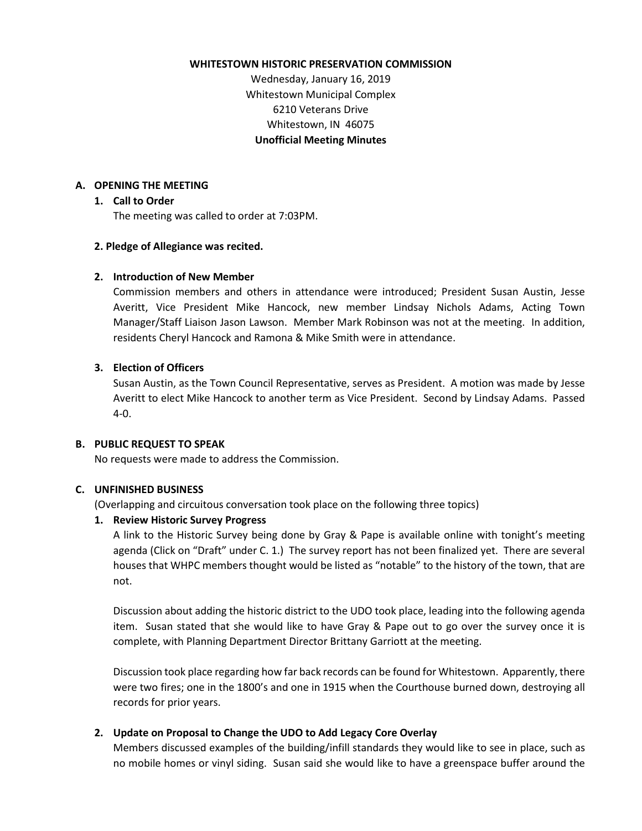#### **WHITESTOWN HISTORIC PRESERVATION COMMISSION**

Wednesday, January 16, 2019 Whitestown Municipal Complex 6210 Veterans Drive Whitestown, IN 46075 **Unofficial Meeting Minutes**

### **A. OPENING THE MEETING**

### **1. Call to Order**

The meeting was called to order at 7:03PM.

## **2. Pledge of Allegiance was recited.**

## **2. Introduction of New Member**

Commission members and others in attendance were introduced; President Susan Austin, Jesse Averitt, Vice President Mike Hancock, new member Lindsay Nichols Adams, Acting Town Manager/Staff Liaison Jason Lawson. Member Mark Robinson was not at the meeting. In addition, residents Cheryl Hancock and Ramona & Mike Smith were in attendance.

## **3. Election of Officers**

Susan Austin, as the Town Council Representative, serves as President. A motion was made by Jesse Averitt to elect Mike Hancock to another term as Vice President. Second by Lindsay Adams. Passed 4-0.

### **B. PUBLIC REQUEST TO SPEAK**

No requests were made to address the Commission.

# **C. UNFINISHED BUSINESS**

(Overlapping and circuitous conversation took place on the following three topics)

### **1. Review Historic Survey Progress**

A link to the Historic Survey being done by Gray & Pape is available online with tonight's meeting agenda (Click on "Draft" under C. 1.) The survey report has not been finalized yet. There are several houses that WHPC members thought would be listed as "notable" to the history of the town, that are not.

Discussion about adding the historic district to the UDO took place, leading into the following agenda item. Susan stated that she would like to have Gray & Pape out to go over the survey once it is complete, with Planning Department Director Brittany Garriott at the meeting.

Discussion took place regarding how far back records can be found for Whitestown. Apparently, there were two fires; one in the 1800's and one in 1915 when the Courthouse burned down, destroying all records for prior years.

# **2. Update on Proposal to Change the UDO to Add Legacy Core Overlay**

Members discussed examples of the building/infill standards they would like to see in place, such as no mobile homes or vinyl siding. Susan said she would like to have a greenspace buffer around the